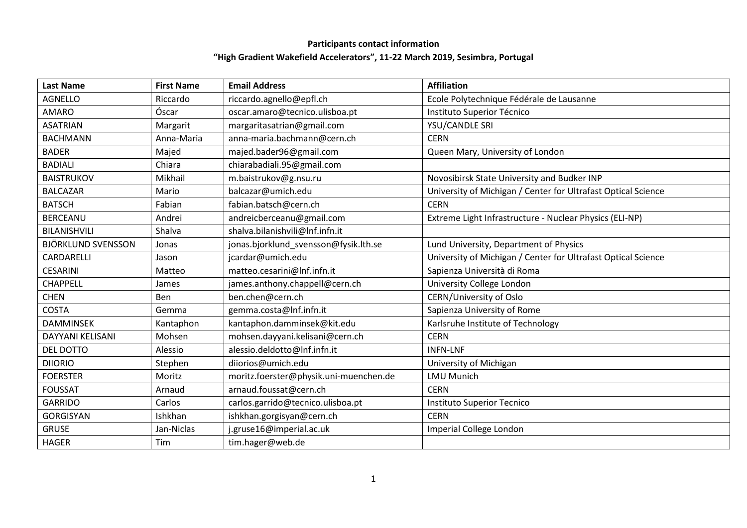## **Participants contact information "High Gradient Wakefield Accelerators", 11-22 March 2019, Sesimbra, Portugal**

| <b>Last Name</b>          | <b>First Name</b> | <b>Email Address</b>                   | <b>Affiliation</b>                                            |
|---------------------------|-------------------|----------------------------------------|---------------------------------------------------------------|
| <b>AGNELLO</b>            | Riccardo          | riccardo.agnello@epfl.ch               | Ecole Polytechnique Fédérale de Lausanne                      |
| <b>AMARO</b>              | Óscar             | oscar.amaro@tecnico.ulisboa.pt         | Instituto Superior Técnico                                    |
| <b>ASATRIAN</b>           | Margarit          | margaritasatrian@gmail.com             | YSU/CANDLE SRI                                                |
| <b>BACHMANN</b>           | Anna-Maria        | anna-maria.bachmann@cern.ch            | <b>CERN</b>                                                   |
| <b>BADER</b>              | Majed             | majed.bader96@gmail.com                | Queen Mary, University of London                              |
| <b>BADIALI</b>            | Chiara            | chiarabadiali.95@gmail.com             |                                                               |
| <b>BAISTRUKOV</b>         | Mikhail           | m.baistrukov@g.nsu.ru                  | Novosibirsk State University and Budker INP                   |
| <b>BALCAZAR</b>           | Mario             | balcazar@umich.edu                     | University of Michigan / Center for Ultrafast Optical Science |
| <b>BATSCH</b>             | Fabian            | fabian.batsch@cern.ch                  | <b>CERN</b>                                                   |
| <b>BERCEANU</b>           | Andrei            | andreicberceanu@gmail.com              | Extreme Light Infrastructure - Nuclear Physics (ELI-NP)       |
| <b>BILANISHVILI</b>       | Shalva            | shalva.bilanishvili@Inf.infn.it        |                                                               |
| <b>BJÖRKLUND SVENSSON</b> | Jonas             | jonas.bjorklund svensson@fysik.lth.se  | Lund University, Department of Physics                        |
| CARDARELLI                | Jason             | jcardar@umich.edu                      | University of Michigan / Center for Ultrafast Optical Science |
| <b>CESARINI</b>           | Matteo            | matteo.cesarini@Inf.infn.it            | Sapienza Università di Roma                                   |
| <b>CHAPPELL</b>           | James             | james.anthony.chappell@cern.ch         | University College London                                     |
| <b>CHEN</b>               | Ben               | ben.chen@cern.ch                       | <b>CERN/University of Oslo</b>                                |
| <b>COSTA</b>              | Gemma             | gemma.costa@Inf.infn.it                | Sapienza University of Rome                                   |
| <b>DAMMINSEK</b>          | Kantaphon         | kantaphon.damminsek@kit.edu            | Karlsruhe Institute of Technology                             |
| DAYYANI KELISANI          | Mohsen            | mohsen.dayyani.kelisani@cern.ch        | <b>CERN</b>                                                   |
| DEL DOTTO                 | Alessio           | alessio.deldotto@Inf.infn.it           | <b>INFN-LNF</b>                                               |
| <b>DIIORIO</b>            | Stephen           | diiorios@umich.edu                     | University of Michigan                                        |
| <b>FOERSTER</b>           | Moritz            | moritz.foerster@physik.uni-muenchen.de | <b>LMU Munich</b>                                             |
| <b>FOUSSAT</b>            | Arnaud            | arnaud.foussat@cern.ch                 | <b>CERN</b>                                                   |
| <b>GARRIDO</b>            | Carlos            | carlos.garrido@tecnico.ulisboa.pt      | Instituto Superior Tecnico                                    |
| <b>GORGISYAN</b>          | Ishkhan           | ishkhan.gorgisyan@cern.ch              | <b>CERN</b>                                                   |
| <b>GRUSE</b>              | Jan-Niclas        | j.gruse16@imperial.ac.uk               | Imperial College London                                       |
| <b>HAGER</b>              | Tim               | tim.hager@web.de                       |                                                               |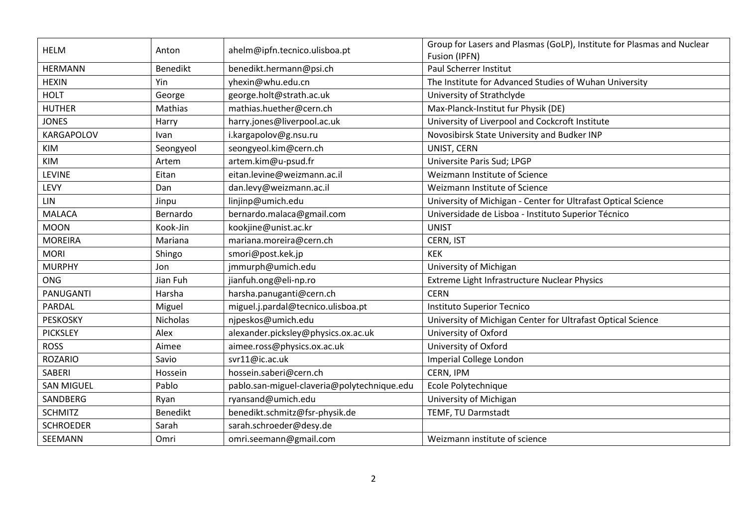| <b>HELM</b>       | Anton           | ahelm@ipfn.tecnico.ulisboa.pt               | Group for Lasers and Plasmas (GoLP), Institute for Plasmas and Nuclear<br>Fusion (IPFN) |
|-------------------|-----------------|---------------------------------------------|-----------------------------------------------------------------------------------------|
| <b>HERMANN</b>    | <b>Benedikt</b> | benedikt.hermann@psi.ch                     | Paul Scherrer Institut                                                                  |
| <b>HEXIN</b>      | Yin             | yhexin@whu.edu.cn                           | The Institute for Advanced Studies of Wuhan University                                  |
| <b>HOLT</b>       | George          | george.holt@strath.ac.uk                    | University of Strathclyde                                                               |
| <b>HUTHER</b>     | Mathias         | mathias.huether@cern.ch                     | Max-Planck-Institut fur Physik (DE)                                                     |
| <b>JONES</b>      | Harry           | harry.jones@liverpool.ac.uk                 | University of Liverpool and Cockcroft Institute                                         |
| <b>KARGAPOLOV</b> | Ivan            | i.kargapolov@g.nsu.ru                       | Novosibirsk State University and Budker INP                                             |
| KIM               | Seongyeol       | seongyeol.kim@cern.ch                       | UNIST, CERN                                                                             |
| KIM               | Artem           | artem.kim@u-psud.fr                         | Universite Paris Sud; LPGP                                                              |
| <b>LEVINE</b>     | Eitan           | eitan.levine@weizmann.ac.il                 | Weizmann Institute of Science                                                           |
| LEVY              | Dan             | dan.levy@weizmann.ac.il                     | Weizmann Institute of Science                                                           |
| LIN               | Jinpu           | linjinp@umich.edu                           | University of Michigan - Center for Ultrafast Optical Science                           |
| <b>MALACA</b>     | Bernardo        | bernardo.malaca@gmail.com                   | Universidade de Lisboa - Instituto Superior Técnico                                     |
| <b>MOON</b>       | Kook-Jin        | kookjine@unist.ac.kr                        | <b>UNIST</b>                                                                            |
| <b>MOREIRA</b>    | Mariana         | mariana.moreira@cern.ch                     | CERN, IST                                                                               |
| <b>MORI</b>       | Shingo          | smori@post.kek.jp                           | <b>KEK</b>                                                                              |
| <b>MURPHY</b>     | Jon             | jmmurph@umich.edu                           | University of Michigan                                                                  |
| ONG               | Jian Fuh        | jianfuh.ong@eli-np.ro                       | Extreme Light Infrastructure Nuclear Physics                                            |
| PANUGANTI         | Harsha          | harsha.panuganti@cern.ch                    | <b>CERN</b>                                                                             |
| PARDAL            | Miguel          | miguel.j.pardal@tecnico.ulisboa.pt          | Instituto Superior Tecnico                                                              |
| <b>PESKOSKY</b>   | Nicholas        | njpeskos@umich.edu                          | University of Michigan Center for Ultrafast Optical Science                             |
| <b>PICKSLEY</b>   | Alex            | alexander.picksley@physics.ox.ac.uk         | University of Oxford                                                                    |
| <b>ROSS</b>       | Aimee           | aimee.ross@physics.ox.ac.uk                 | University of Oxford                                                                    |
| <b>ROZARIO</b>    | Savio           | svr11@ic.ac.uk                              | Imperial College London                                                                 |
| <b>SABERI</b>     | Hossein         | hossein.saberi@cern.ch                      | CERN, IPM                                                                               |
| <b>SAN MIGUEL</b> | Pablo           | pablo.san-miguel-claveria@polytechnique.edu | Ecole Polytechnique                                                                     |
| SANDBERG          | Ryan            | ryansand@umich.edu                          | University of Michigan                                                                  |
| <b>SCHMITZ</b>    | <b>Benedikt</b> | benedikt.schmitz@fsr-physik.de              | TEMF, TU Darmstadt                                                                      |
| <b>SCHROEDER</b>  | Sarah           | sarah.schroeder@desy.de                     |                                                                                         |
| SEEMANN           | Omri            | omri.seemann@gmail.com                      | Weizmann institute of science                                                           |